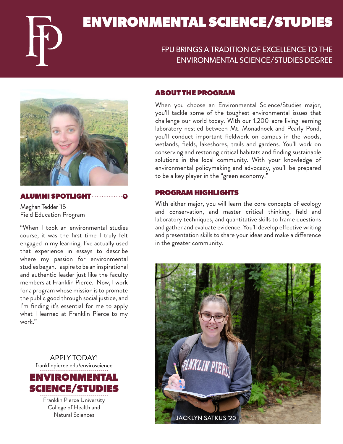## ENVIRONMENTAL SCIENCE/STUDIES

### FPU BRINGS A TRADITION OF EXCELLENCE TO THE ENVIRONMENTAL SCIENCE/STUDIES DEGREE



#### ALUMNI SPOTLIGHT

Meghan Tedder '15 Field Education Program

"When I took an environmental studies course, it was the first time I truly felt engaged in my learning. I've actually used that experience in essays to describe where my passion for environmental studies began. I aspire to be an inspirational and authentic leader just like the faculty members at Franklin Pierce. Now, I work for a program whose mission is to promote the public good through social justice, and I'm finding it's essential for me to apply what I learned at Franklin Pierce to my work."

APPLY TODAY! franklinpierce.edu/enviroscience ENVIRONMENTAL SCIENCE/STUDIES Franklin Pierce University College of Health and Natural Sciences

#### ABOUT THE PROGRAM

When you choose an Environmental Science/Studies major, you'll tackle some of the toughest environmental issues that challenge our world today. With our 1,200-acre living learning laboratory nestled between Mt. Monadnock and Pearly Pond, you'll conduct important fieldwork on campus in the woods, wetlands, fields, lakeshores, trails and gardens. You'll work on conserving and restoring critical habitats and finding sustainable solutions in the local community. With your knowledge of environmental policymaking and advocacy, you'll be prepared to be a key player in the "green economy."

#### PROGRAM HIGHLIGHTS

With either major, you will learn the core concepts of ecology and conservation, and master critical thinking, field and laboratory techniques, and quantitative skills to frame questions and gather and evaluate evidence. You'll develop effective writing and presentation skills to share your ideas and make a difference in the greater community.